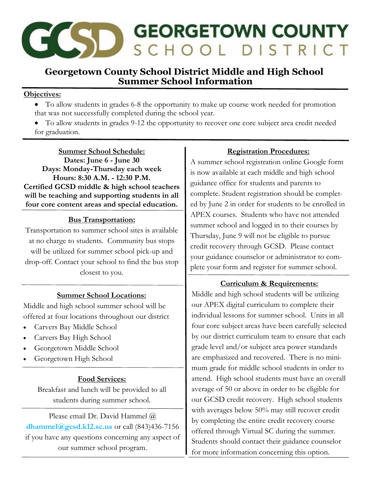

# **Georgetown County School District Middle and High School Summer School Information**

### **Objectives:**

- To allow students in grades 6-8 the opportunity to make up course work needed for promotion that was not successfully completed during the school year.
- To allow students in grades 9-12 the opportunity to recover one core subject area credit needed for graduation.

**Summer School Schedule: Dates: June 6 - June 30 Days: Monday-Thursday each week Hours: 8:30 A.M. - 12:30 P.M. Certified GCSD middle & high school teachers will be teaching and supporting students in all four core content areas and special education.**

### **Bus Transportation:**

Transportation to summer school sites is available at no charge to students. Community bus stops will be utilized for summer school pick-up and drop-off. Contact your school to find the bus stop closest to you.

### **Summer School Locations:**

Middle and high school summer school will be offered at four locations throughout our district

- Carvers Bay Middle School
- Carvers Bay High School
- Georgetown Middle School
- Georgetown High School

### **Food Services:**

Breakfast and lunch will be provided to all students during summer school.

Please email Dr. David Hammel @ **dhammel@gcsd.k12.sc.us** or call (843)436-7156 if you have any questions concerning any aspect of our summer school program.

### **Registration Procedures:**

A summer school registration online Google form is now available at each middle and high school guidance office for students and parents to complete. Student registration should be completed by June 2 in order for students to be enrolled in APEX courses. Students who have not attended summer school and logged in to their courses by Thursday, June 9 will not be eligible to pursue credit recovery through GCSD. Please contact your guidance counselor or administrator to complete your form and register for summer school.

### **Curriculum & Requirements:**

Middle and high school students will be utilizing our APEX digital curriculum to complete their individual lessons for summer school. Units in all four core subject areas have been carefully selected by our district curriculum team to ensure that each grade level and/or subject area power standards are emphasized and recovered. There is no minimum grade for middle school students in order to attend. High school students must have an overall average of 50 or above in order to be eligible for our GCSD credit recovery. High school students with averages below 50% may still recover credit by completing the entire credit recovery course offered through Virtual SC during the summer. Students should contact their guidance counselor for more information concerning this option.